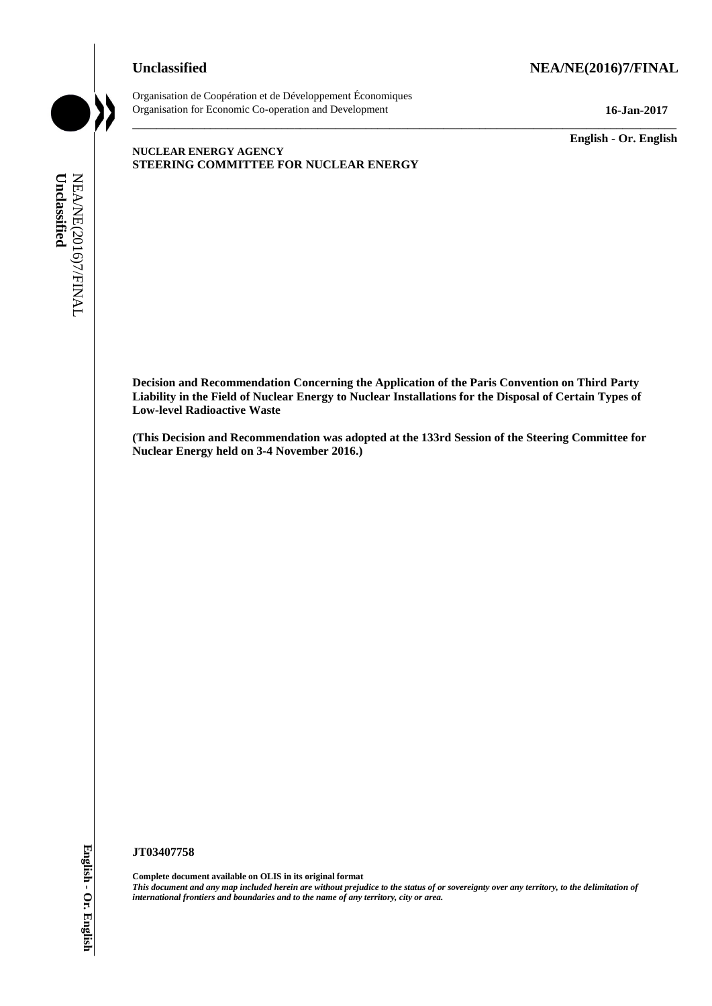# **Unclassified NEA/NE(2016)7/FINAL**



Organisation de Coopération et de Développement Économiques Organisation for Economic Co-operation and Development **16-Jan-2017**

\_\_\_\_\_\_\_\_\_\_\_\_\_ **English - Or. English**

## **NUCLEAR ENERGY AGENCY STEERING COMMITTEE FOR NUCLEAR ENERGY**

**Decision and Recommendation Concerning the Application of the Paris Convention on Third Party Liability in the Field of Nuclear Energy to Nuclear Installations for the Disposal of Certain Types of Low-level Radioactive Waste international** *f***commendation Concerning the Application<br>** *International**Limbility* **in the Field of Warden Energy to Nuclear Installation<br>** *Limbility* **in the Field of Nearly and Boundaries with a stronger of the 1334<br>
N** 

\_\_\_\_\_\_\_\_\_\_\_\_\_\_\_\_\_\_\_\_\_\_\_\_\_\_\_\_\_\_\_\_\_\_\_\_\_\_\_\_\_\_\_\_\_\_\_\_\_\_\_\_\_\_\_\_\_\_\_\_\_\_\_\_\_\_\_\_\_\_\_\_\_\_\_\_\_\_\_\_\_\_\_\_\_\_\_\_\_\_\_

**(This Decision and Recommendation was adopted at the 133rd Session of the Steering Committee for Nuclear Energy held on 3-4 November 2016.)**

#### **JT03407758**

**Complete document available on OLIS in its original format** *This document and any map included herein are without prejudice to the status of or sovereignty over any territory, to the delimitation of*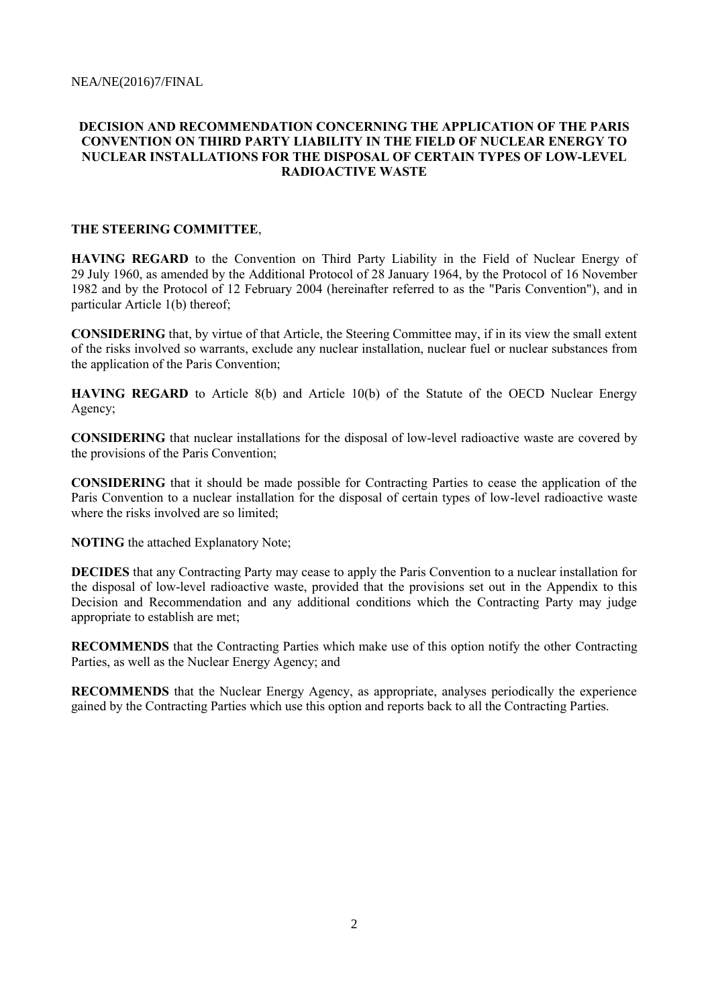# **DECISION AND RECOMMENDATION CONCERNING THE APPLICATION OF THE PARIS CONVENTION ON THIRD PARTY LIABILITY IN THE FIELD OF NUCLEAR ENERGY TO NUCLEAR INSTALLATIONS FOR THE DISPOSAL OF CERTAIN TYPES OF LOW-LEVEL RADIOACTIVE WASTE**

## **THE STEERING COMMITTEE**,

**HAVING REGARD** to the Convention on Third Party Liability in the Field of Nuclear Energy of 29 July 1960, as amended by the Additional Protocol of 28 January 1964, by the Protocol of 16 November 1982 and by the Protocol of 12 February 2004 (hereinafter referred to as the "Paris Convention"), and in particular Article 1(b) thereof;

**CONSIDERING** that, by virtue of that Article, the Steering Committee may, if in its view the small extent of the risks involved so warrants, exclude any nuclear installation, nuclear fuel or nuclear substances from the application of the Paris Convention;

**HAVING REGARD** to Article 8(b) and Article 10(b) of the Statute of the OECD Nuclear Energy Agency;

**CONSIDERING** that nuclear installations for the disposal of low-level radioactive waste are covered by the provisions of the Paris Convention;

**CONSIDERING** that it should be made possible for Contracting Parties to cease the application of the Paris Convention to a nuclear installation for the disposal of certain types of low-level radioactive waste where the risks involved are so limited;

**NOTING** the attached Explanatory Note;

**DECIDES** that any Contracting Party may cease to apply the Paris Convention to a nuclear installation for the disposal of low-level radioactive waste, provided that the provisions set out in the Appendix to this Decision and Recommendation and any additional conditions which the Contracting Party may judge appropriate to establish are met;

**RECOMMENDS** that the Contracting Parties which make use of this option notify the other Contracting Parties, as well as the Nuclear Energy Agency; and

**RECOMMENDS** that the Nuclear Energy Agency, as appropriate, analyses periodically the experience gained by the Contracting Parties which use this option and reports back to all the Contracting Parties.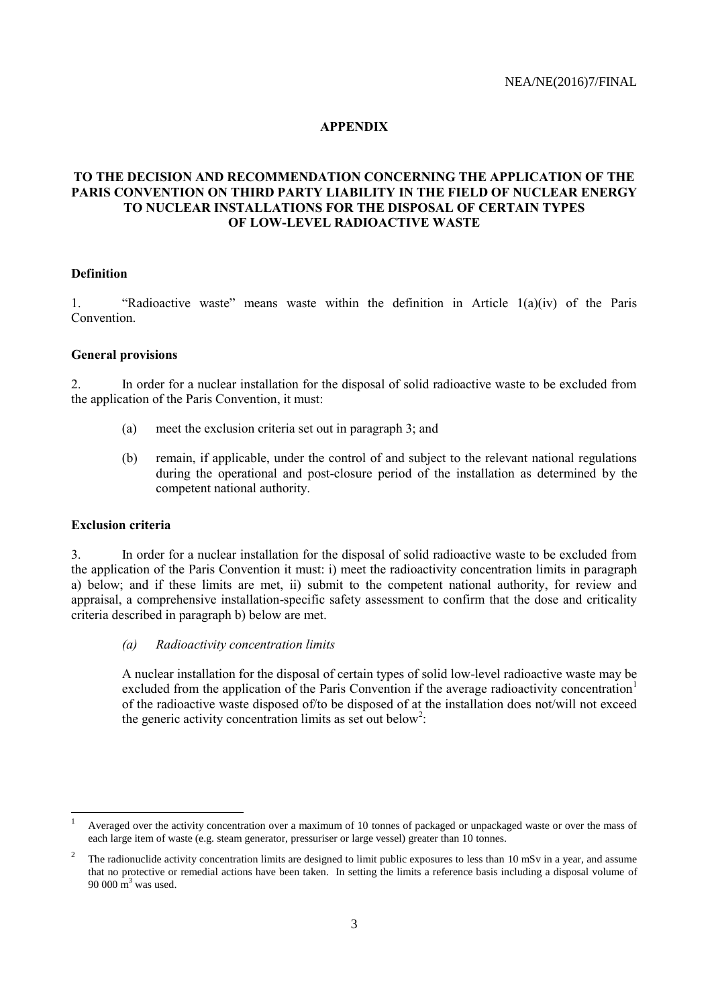## **APPENDIX**

# **TO THE DECISION AND RECOMMENDATION CONCERNING THE APPLICATION OF THE PARIS CONVENTION ON THIRD PARTY LIABILITY IN THE FIELD OF NUCLEAR ENERGY TO NUCLEAR INSTALLATIONS FOR THE DISPOSAL OF CERTAIN TYPES OF LOW-LEVEL RADIOACTIVE WASTE**

# **Definition**

1. "Radioactive waste" means waste within the definition in Article 1(a)(iv) of the Paris Convention.

#### **General provisions**

2. In order for a nuclear installation for the disposal of solid radioactive waste to be excluded from the application of the Paris Convention, it must:

- (a) meet the exclusion criteria set out in paragraph 3; and
- (b) remain, if applicable, under the control of and subject to the relevant national regulations during the operational and post-closure period of the installation as determined by the competent national authority.

#### **Exclusion criteria**

3. In order for a nuclear installation for the disposal of solid radioactive waste to be excluded from the application of the Paris Convention it must: i) meet the radioactivity concentration limits in paragraph a) below; and if these limits are met, ii) submit to the competent national authority, for review and appraisal, a comprehensive installation-specific safety assessment to confirm that the dose and criticality criteria described in paragraph b) below are met.

*(a) Radioactivity concentration limits*

A nuclear installation for the disposal of certain types of solid low-level radioactive waste may be excluded from the application of the Paris Convention if the average radioactivity concentration<sup>1</sup> of the radioactive waste disposed of/to be disposed of at the installation does not/will not exceed the generic activity concentration limits as set out below<sup>2</sup>:

 $\mathbf{1}$ <sup>1</sup> Averaged over the activity concentration over a maximum of 10 tonnes of packaged or unpackaged waste or over the mass of each large item of waste (e.g. steam generator, pressuriser or large vessel) greater than 10 tonnes.

<sup>2</sup> The radionuclide activity concentration limits are designed to limit public exposures to less than 10 mSv in a year, and assume that no protective or remedial actions have been taken. In setting the limits a reference basis including a disposal volume of 90 000 m <sup>3</sup> was used.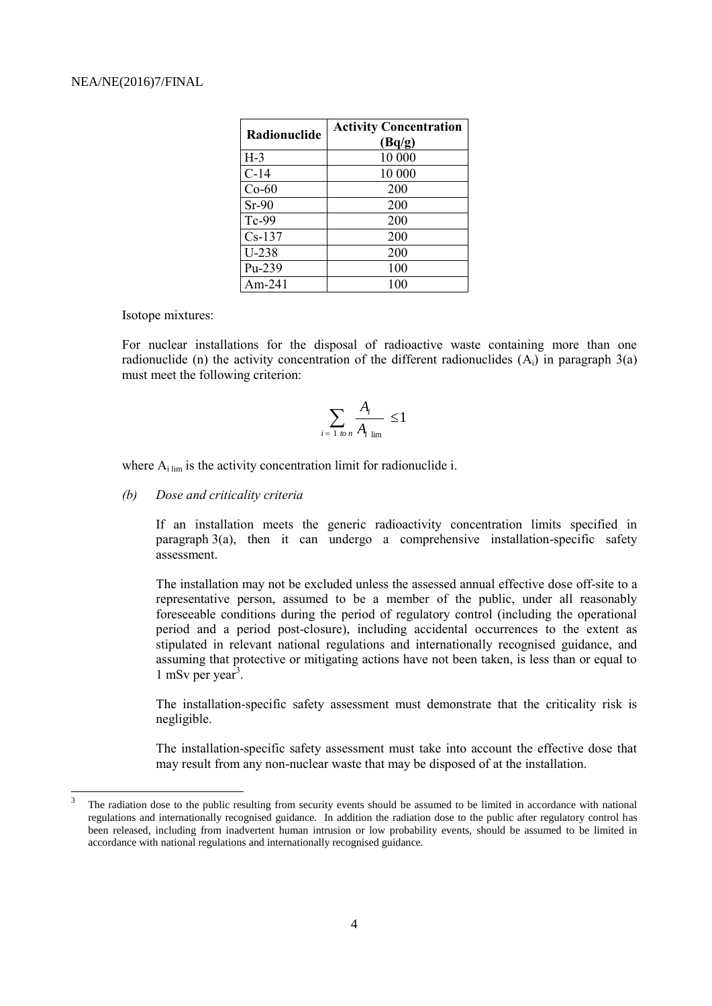| Radionuclide | <b>Activity Concentration</b> |  |
|--------------|-------------------------------|--|
|              | (Bq/g)                        |  |
| $H-3$        | 10 000                        |  |
| $C-14$       | 10 000                        |  |
| $Co-60$      | 200                           |  |
| $Sr-90$      | 200                           |  |
| Tc-99        | 200                           |  |
| $Cs-137$     | 200                           |  |
| $U-238$      | 200                           |  |
| $Pu-239$     | 100                           |  |
| Am-241       | 100                           |  |

Isotope mixtures:

l

For nuclear installations for the disposal of radioactive waste containing more than one radionuclide (n) the activity concentration of the different radionuclides  $(A_i)$  in paragraph  $3(a)$ must meet the following criterion:

$$
\sum_{i=1 \text{ to } n} \frac{A_i}{A_i} \le 1
$$

where  $A_i$ <sub>lim</sub> is the activity concentration limit for radionuclide i.

#### *(b) Dose and criticality criteria*

If an installation meets the generic radioactivity concentration limits specified in paragraph  $3(a)$ , then it can undergo a comprehensive installation-specific safety assessment.

The installation may not be excluded unless the assessed annual effective dose off-site to a representative person, assumed to be a member of the public, under all reasonably foreseeable conditions during the period of regulatory control (including the operational period and a period post-closure), including accidental occurrences to the extent as stipulated in relevant national regulations and internationally recognised guidance, and assuming that protective or mitigating actions have not been taken, is less than or equal to  $1$  mSv per year<sup>3</sup>.

The installation-specific safety assessment must demonstrate that the criticality risk is negligible.

The installation-specific safety assessment must take into account the effective dose that may result from any non-nuclear waste that may be disposed of at the installation.

<sup>3</sup> The radiation dose to the public resulting from security events should be assumed to be limited in accordance with national regulations and internationally recognised guidance. In addition the radiation dose to the public after regulatory control has been released, including from inadvertent human intrusion or low probability events, should be assumed to be limited in accordance with national regulations and internationally recognised guidance.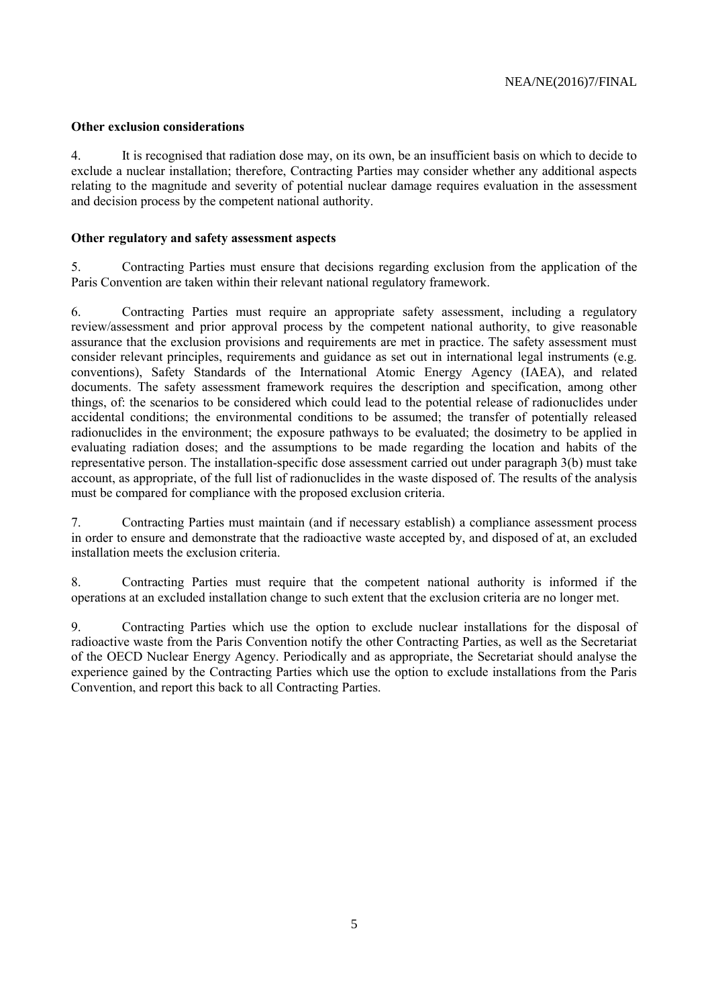## **Other exclusion considerations**

4. It is recognised that radiation dose may, on its own, be an insufficient basis on which to decide to exclude a nuclear installation; therefore, Contracting Parties may consider whether any additional aspects relating to the magnitude and severity of potential nuclear damage requires evaluation in the assessment and decision process by the competent national authority.

## **Other regulatory and safety assessment aspects**

5. Contracting Parties must ensure that decisions regarding exclusion from the application of the Paris Convention are taken within their relevant national regulatory framework.

6. Contracting Parties must require an appropriate safety assessment, including a regulatory review/assessment and prior approval process by the competent national authority, to give reasonable assurance that the exclusion provisions and requirements are met in practice. The safety assessment must consider relevant principles, requirements and guidance as set out in international legal instruments (e.g. conventions), Safety Standards of the International Atomic Energy Agency (IAEA), and related documents. The safety assessment framework requires the description and specification, among other things, of: the scenarios to be considered which could lead to the potential release of radionuclides under accidental conditions; the environmental conditions to be assumed; the transfer of potentially released radionuclides in the environment; the exposure pathways to be evaluated; the dosimetry to be applied in evaluating radiation doses; and the assumptions to be made regarding the location and habits of the representative person. The installation-specific dose assessment carried out under paragraph 3(b) must take account, as appropriate, of the full list of radionuclides in the waste disposed of. The results of the analysis must be compared for compliance with the proposed exclusion criteria.

7. Contracting Parties must maintain (and if necessary establish) a compliance assessment process in order to ensure and demonstrate that the radioactive waste accepted by, and disposed of at, an excluded installation meets the exclusion criteria.

8. Contracting Parties must require that the competent national authority is informed if the operations at an excluded installation change to such extent that the exclusion criteria are no longer met.

9. Contracting Parties which use the option to exclude nuclear installations for the disposal of radioactive waste from the Paris Convention notify the other Contracting Parties, as well as the Secretariat of the OECD Nuclear Energy Agency. Periodically and as appropriate, the Secretariat should analyse the experience gained by the Contracting Parties which use the option to exclude installations from the Paris Convention, and report this back to all Contracting Parties.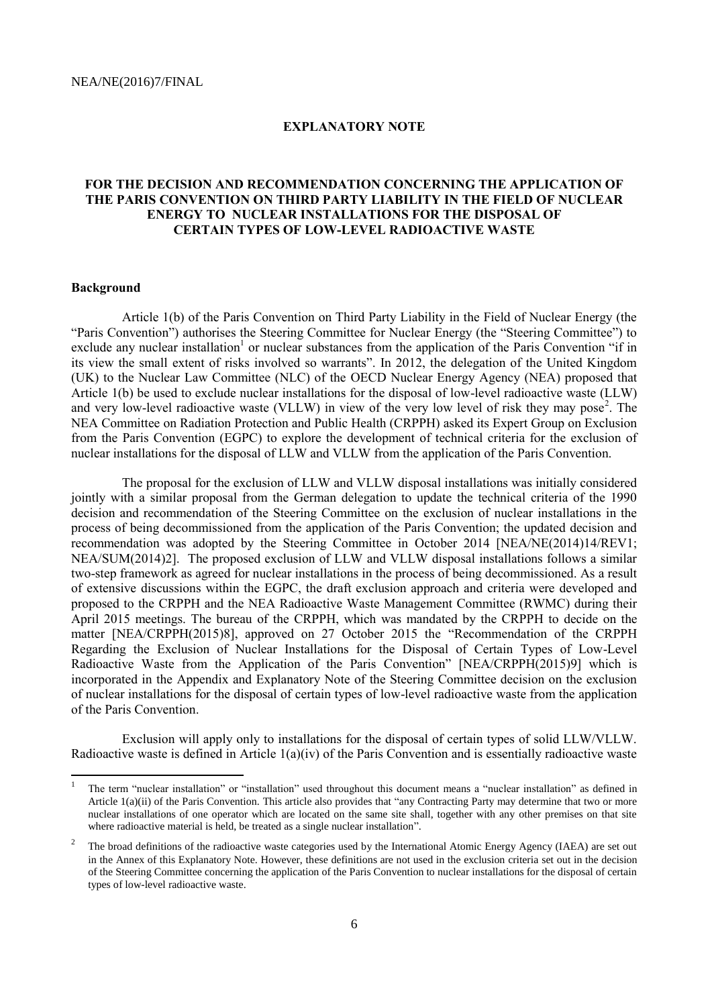## **EXPLANATORY NOTE**

## **FOR THE DECISION AND RECOMMENDATION CONCERNING THE APPLICATION OF THE PARIS CONVENTION ON THIRD PARTY LIABILITY IN THE FIELD OF NUCLEAR ENERGY TO NUCLEAR INSTALLATIONS FOR THE DISPOSAL OF CERTAIN TYPES OF LOW-LEVEL RADIOACTIVE WASTE**

#### **Background**

Article 1(b) of the Paris Convention on Third Party Liability in the Field of Nuclear Energy (the "Paris Convention") authorises the Steering Committee for Nuclear Energy (the "Steering Committee") to exclude any nuclear installation<sup>1</sup> or nuclear substances from the application of the Paris Convention "if in its view the small extent of risks involved so warrants". In 2012, the delegation of the United Kingdom (UK) to the Nuclear Law Committee (NLC) of the OECD Nuclear Energy Agency (NEA) proposed that Article 1(b) be used to exclude nuclear installations for the disposal of low-level radioactive waste (LLW) and very low-level radioactive waste (VLLW) in view of the very low level of risk they may pose<sup>2</sup>. The NEA Committee on Radiation Protection and Public Health (CRPPH) asked its Expert Group on Exclusion from the Paris Convention (EGPC) to explore the development of technical criteria for the exclusion of nuclear installations for the disposal of LLW and VLLW from the application of the Paris Convention.

The proposal for the exclusion of LLW and VLLW disposal installations was initially considered jointly with a similar proposal from the German delegation to update the technical criteria of the 1990 decision and recommendation of the Steering Committee on the exclusion of nuclear installations in the process of being decommissioned from the application of the Paris Convention; the updated decision and recommendation was adopted by the Steering Committee in October 2014 [NEA/NE(2014)14/REV1; NEA/SUM(2014)2]. The proposed exclusion of LLW and VLLW disposal installations follows a similar two-step framework as agreed for nuclear installations in the process of being decommissioned. As a result of extensive discussions within the EGPC, the draft exclusion approach and criteria were developed and proposed to the CRPPH and the NEA Radioactive Waste Management Committee (RWMC) during their April 2015 meetings. The bureau of the CRPPH, which was mandated by the CRPPH to decide on the matter [NEA/CRPPH(2015)8], approved on 27 October 2015 the "Recommendation of the CRPPH Regarding the Exclusion of Nuclear Installations for the Disposal of Certain Types of Low-Level Radioactive Waste from the Application of the Paris Convention" [NEA/CRPPH(2015)9] which is incorporated in the Appendix and Explanatory Note of the Steering Committee decision on the exclusion of nuclear installations for the disposal of certain types of low-level radioactive waste from the application of the Paris Convention.

Exclusion will apply only to installations for the disposal of certain types of solid LLW/VLLW. Radioactive waste is defined in Article  $1(a)(iv)$  of the Paris Convention and is essentially radioactive waste

<sup>|&</sup>lt;br>|<br>| The term "nuclear installation" or "installation" used throughout this document means a "nuclear installation" as defined in Article 1(a)(ii) of the Paris Convention. This article also provides that "any Contracting Party may determine that two or more nuclear installations of one operator which are located on the same site shall, together with any other premises on that site where radioactive material is held, be treated as a single nuclear installation".

<sup>2</sup> The broad definitions of the radioactive waste categories used by the International Atomic Energy Agency (IAEA) are set out in the Annex of this Explanatory Note. However, these definitions are not used in the exclusion criteria set out in the decision of the Steering Committee concerning the application of the Paris Convention to nuclear installations for the disposal of certain types of low-level radioactive waste.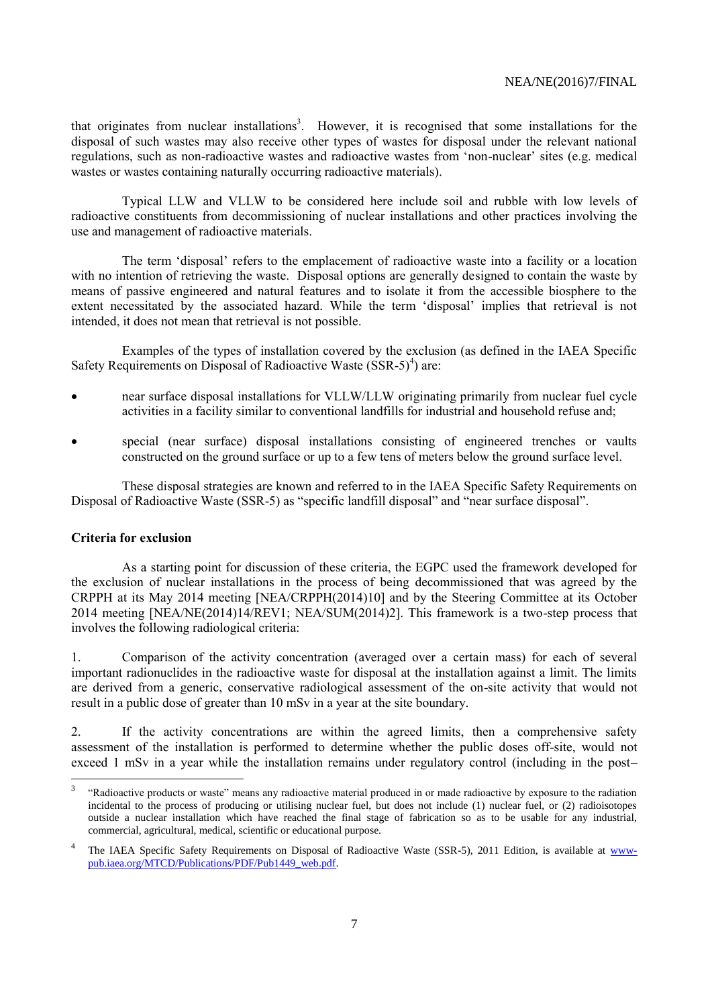that originates from nuclear installations<sup>3</sup>. However, it is recognised that some installations for the disposal of such wastes may also receive other types of wastes for disposal under the relevant national regulations, such as non-radioactive wastes and radioactive wastes from 'non-nuclear' sites (e.g. medical wastes or wastes containing naturally occurring radioactive materials).

Typical LLW and VLLW to be considered here include soil and rubble with low levels of radioactive constituents from decommissioning of nuclear installations and other practices involving the use and management of radioactive materials.

The term 'disposal' refers to the emplacement of radioactive waste into a facility or a location with no intention of retrieving the waste. Disposal options are generally designed to contain the waste by means of passive engineered and natural features and to isolate it from the accessible biosphere to the extent necessitated by the associated hazard. While the term 'disposal' implies that retrieval is not intended, it does not mean that retrieval is not possible.

Examples of the types of installation covered by the exclusion (as defined in the IAEA Specific Safety Requirements on Disposal of Radioactive Waste  $(SSR-5)<sup>4</sup>$  are:

- near surface disposal installations for VLLW/LLW originating primarily from nuclear fuel cycle activities in a facility similar to conventional landfills for industrial and household refuse and;
- special (near surface) disposal installations consisting of engineered trenches or vaults constructed on the ground surface or up to a few tens of meters below the ground surface level.

These disposal strategies are known and referred to in the IAEA Specific Safety Requirements on Disposal of Radioactive Waste (SSR-5) as "specific landfill disposal" and "near surface disposal".

## **Criteria for exclusion**

As a starting point for discussion of these criteria, the EGPC used the framework developed for the exclusion of nuclear installations in the process of being decommissioned that was agreed by the CRPPH at its May 2014 meeting [NEA/CRPPH(2014)10] and by the Steering Committee at its October 2014 meeting [NEA/NE(2014)14/REV1; NEA/SUM(2014)2]. This framework is a two-step process that involves the following radiological criteria:

1. Comparison of the activity concentration (averaged over a certain mass) for each of several important radionuclides in the radioactive waste for disposal at the installation against a limit. The limits are derived from a generic, conservative radiological assessment of the on-site activity that would not result in a public dose of greater than 10 mSv in a year at the site boundary.

2. If the activity concentrations are within the agreed limits, then a comprehensive safety assessment of the installation is performed to determine whether the public doses off-site, would not exceed 1 mSv in a year while the installation remains under regulatory control (including in the post–

 3 "Radioactive products or waste" means any radioactive material produced in or made radioactive by exposure to the radiation incidental to the process of producing or utilising nuclear fuel, but does not include (1) nuclear fuel, or (2) radioisotopes outside a nuclear installation which have reached the final stage of fabrication so as to be usable for any industrial, commercial, agricultural, medical, scientific or educational purpose.

<sup>4</sup> The IAEA Specific Safety Requirements on Disposal of Radioactive Waste (SSR-5), 2011 Edition, is available at [www](http://www-pub.iaea.org/MTCD/Publications/PDF/Pub1449_web.pdf)[pub.iaea.org/MTCD/Publications/PDF/Pub1449\\_web.pdf.](http://www-pub.iaea.org/MTCD/Publications/PDF/Pub1449_web.pdf)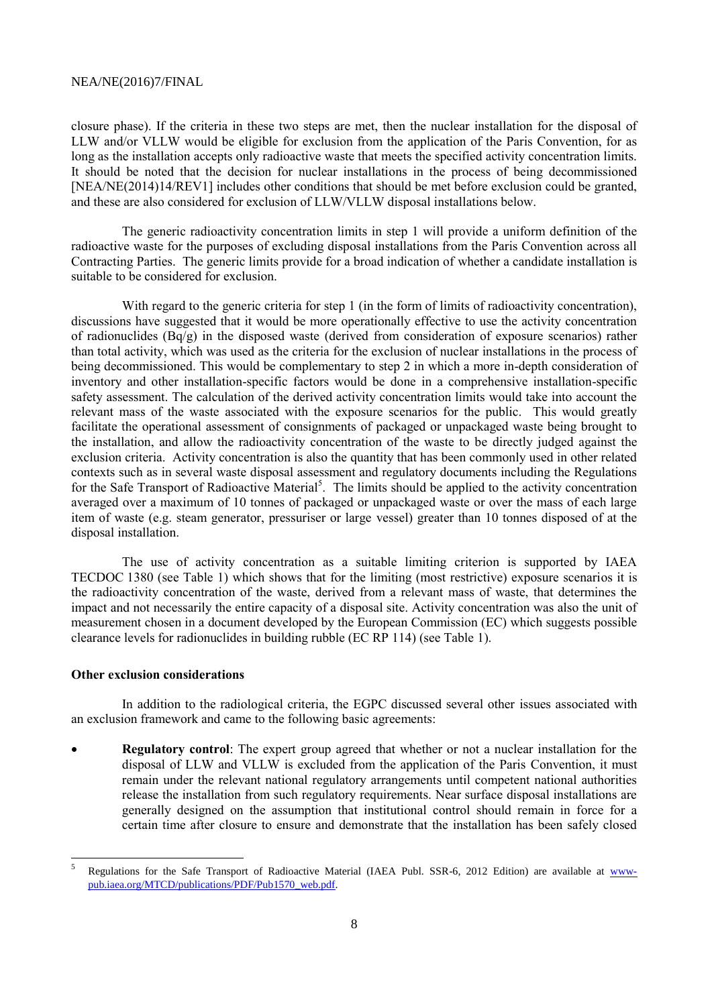closure phase). If the criteria in these two steps are met, then the nuclear installation for the disposal of LLW and/or VLLW would be eligible for exclusion from the application of the Paris Convention, for as long as the installation accepts only radioactive waste that meets the specified activity concentration limits. It should be noted that the decision for nuclear installations in the process of being decommissioned [NEA/NE(2014)14/REV1] includes other conditions that should be met before exclusion could be granted, and these are also considered for exclusion of LLW/VLLW disposal installations below.

The generic radioactivity concentration limits in step 1 will provide a uniform definition of the radioactive waste for the purposes of excluding disposal installations from the Paris Convention across all Contracting Parties. The generic limits provide for a broad indication of whether a candidate installation is suitable to be considered for exclusion.

With regard to the generic criteria for step 1 (in the form of limits of radioactivity concentration), discussions have suggested that it would be more operationally effective to use the activity concentration of radionuclides  $(Bq/g)$  in the disposed waste (derived from consideration of exposure scenarios) rather than total activity, which was used as the criteria for the exclusion of nuclear installations in the process of being decommissioned. This would be complementary to step 2 in which a more in-depth consideration of inventory and other installation-specific factors would be done in a comprehensive installation-specific safety assessment. The calculation of the derived activity concentration limits would take into account the relevant mass of the waste associated with the exposure scenarios for the public. This would greatly facilitate the operational assessment of consignments of packaged or unpackaged waste being brought to the installation, and allow the radioactivity concentration of the waste to be directly judged against the exclusion criteria. Activity concentration is also the quantity that has been commonly used in other related contexts such as in several waste disposal assessment and regulatory documents including the Regulations for the Safe Transport of Radioactive Material<sup>5</sup>. The limits should be applied to the activity concentration averaged over a maximum of 10 tonnes of packaged or unpackaged waste or over the mass of each large item of waste (e.g. steam generator, pressuriser or large vessel) greater than 10 tonnes disposed of at the disposal installation.

The use of activity concentration as a suitable limiting criterion is supported by IAEA TECDOC 1380 (see Table 1) which shows that for the limiting (most restrictive) exposure scenarios it is the radioactivity concentration of the waste, derived from a relevant mass of waste, that determines the impact and not necessarily the entire capacity of a disposal site. Activity concentration was also the unit of measurement chosen in a document developed by the European Commission (EC) which suggests possible clearance levels for radionuclides in building rubble (EC RP 114) (see Table 1).

### **Other exclusion considerations**

In addition to the radiological criteria, the EGPC discussed several other issues associated with an exclusion framework and came to the following basic agreements:

 **Regulatory control**: The expert group agreed that whether or not a nuclear installation for the disposal of LLW and VLLW is excluded from the application of the Paris Convention, it must remain under the relevant national regulatory arrangements until competent national authorities release the installation from such regulatory requirements. Near surface disposal installations are generally designed on the assumption that institutional control should remain in force for a certain time after closure to ensure and demonstrate that the installation has been safely closed

 5 Regulations for the Safe Transport of Radioactive Material (IAEA Publ. SSR-6, 2012 Edition) are available at [www](http://www-pub.iaea.org/MTCD/publications/PDF/Pub1570_web.pdf)[pub.iaea.org/MTCD/publications/PDF/Pub1570\\_web.pdf.](http://www-pub.iaea.org/MTCD/publications/PDF/Pub1570_web.pdf)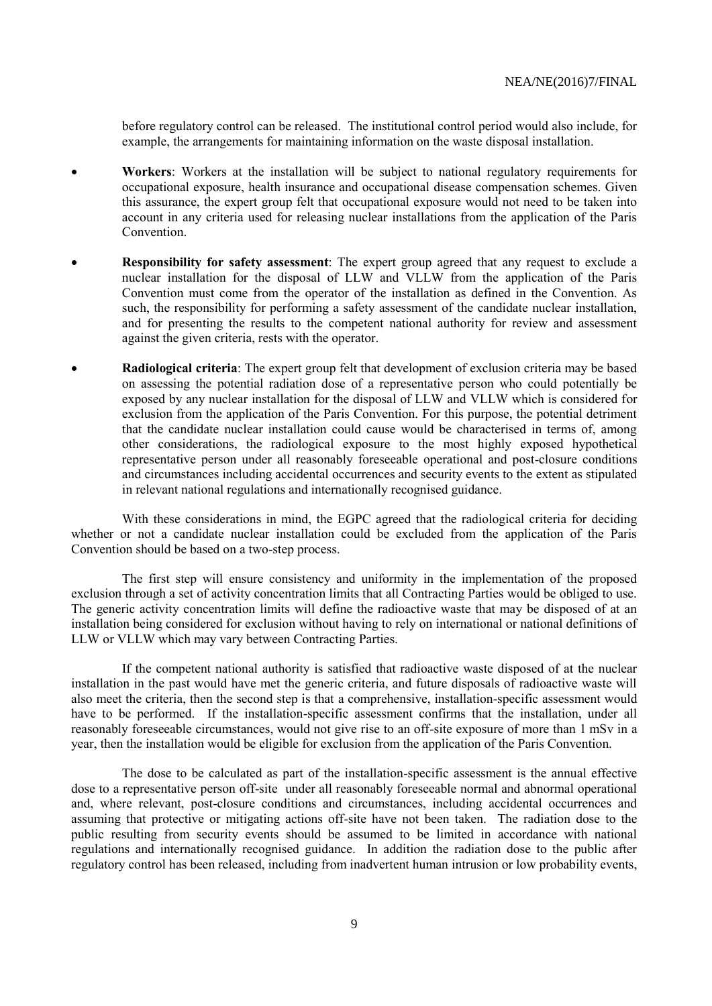before regulatory control can be released. The institutional control period would also include, for example, the arrangements for maintaining information on the waste disposal installation.

- **Workers**: Workers at the installation will be subject to national regulatory requirements for occupational exposure, health insurance and occupational disease compensation schemes. Given this assurance, the expert group felt that occupational exposure would not need to be taken into account in any criteria used for releasing nuclear installations from the application of the Paris **Convention**
- **Responsibility for safety assessment**: The expert group agreed that any request to exclude a nuclear installation for the disposal of LLW and VLLW from the application of the Paris Convention must come from the operator of the installation as defined in the Convention. As such, the responsibility for performing a safety assessment of the candidate nuclear installation, and for presenting the results to the competent national authority for review and assessment against the given criteria, rests with the operator.
- **Radiological criteria**: The expert group felt that development of exclusion criteria may be based on assessing the potential radiation dose of a representative person who could potentially be exposed by any nuclear installation for the disposal of LLW and VLLW which is considered for exclusion from the application of the Paris Convention. For this purpose, the potential detriment that the candidate nuclear installation could cause would be characterised in terms of, among other considerations, the radiological exposure to the most highly exposed hypothetical representative person under all reasonably foreseeable operational and post-closure conditions and circumstances including accidental occurrences and security events to the extent as stipulated in relevant national regulations and internationally recognised guidance.

With these considerations in mind, the EGPC agreed that the radiological criteria for deciding whether or not a candidate nuclear installation could be excluded from the application of the Paris Convention should be based on a two-step process.

The first step will ensure consistency and uniformity in the implementation of the proposed exclusion through a set of activity concentration limits that all Contracting Parties would be obliged to use. The generic activity concentration limits will define the radioactive waste that may be disposed of at an installation being considered for exclusion without having to rely on international or national definitions of LLW or VLLW which may vary between Contracting Parties.

If the competent national authority is satisfied that radioactive waste disposed of at the nuclear installation in the past would have met the generic criteria, and future disposals of radioactive waste will also meet the criteria, then the second step is that a comprehensive, installation-specific assessment would have to be performed. If the installation-specific assessment confirms that the installation, under all reasonably foreseeable circumstances, would not give rise to an off-site exposure of more than 1 mSv in a year, then the installation would be eligible for exclusion from the application of the Paris Convention.

The dose to be calculated as part of the installation-specific assessment is the annual effective dose to a representative person off-site under all reasonably foreseeable normal and abnormal operational and, where relevant, post-closure conditions and circumstances, including accidental occurrences and assuming that protective or mitigating actions off-site have not been taken. The radiation dose to the public resulting from security events should be assumed to be limited in accordance with national regulations and internationally recognised guidance. In addition the radiation dose to the public after regulatory control has been released, including from inadvertent human intrusion or low probability events,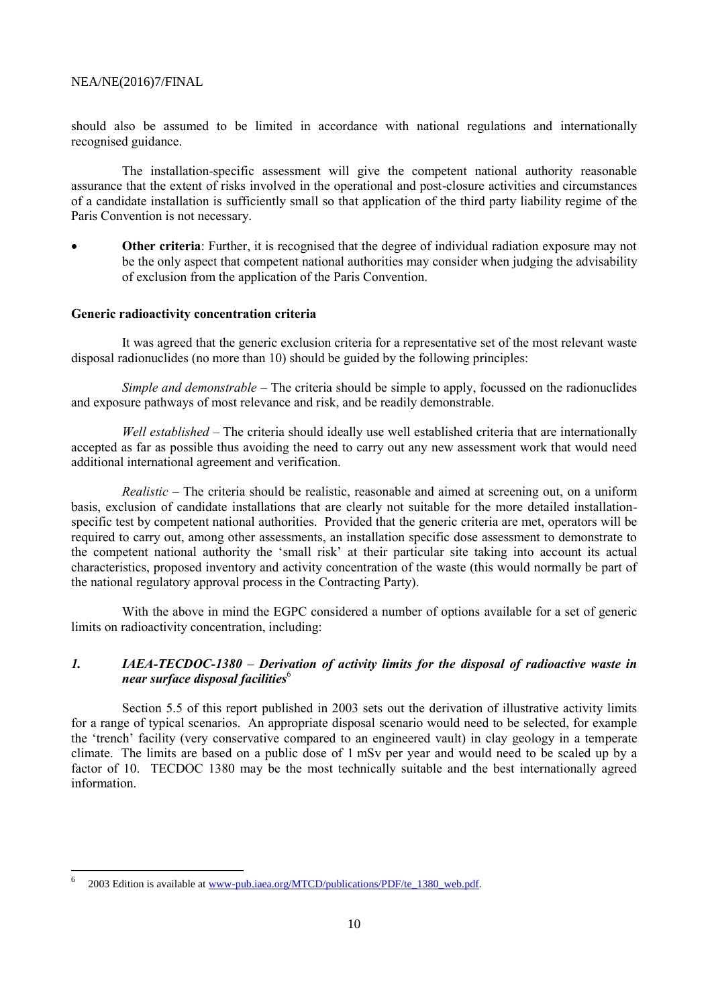should also be assumed to be limited in accordance with national regulations and internationally recognised guidance.

The installation-specific assessment will give the competent national authority reasonable assurance that the extent of risks involved in the operational and post-closure activities and circumstances of a candidate installation is sufficiently small so that application of the third party liability regime of the Paris Convention is not necessary.

**•** Other criteria: Further, it is recognised that the degree of individual radiation exposure may not be the only aspect that competent national authorities may consider when judging the advisability of exclusion from the application of the Paris Convention.

#### **Generic radioactivity concentration criteria**

It was agreed that the generic exclusion criteria for a representative set of the most relevant waste disposal radionuclides (no more than 10) should be guided by the following principles:

*Simple and demonstrable* – The criteria should be simple to apply, focussed on the radionuclides and exposure pathways of most relevance and risk, and be readily demonstrable.

*Well established* – The criteria should ideally use well established criteria that are internationally accepted as far as possible thus avoiding the need to carry out any new assessment work that would need additional international agreement and verification.

*Realistic* – The criteria should be realistic, reasonable and aimed at screening out, on a uniform basis, exclusion of candidate installations that are clearly not suitable for the more detailed installationspecific test by competent national authorities. Provided that the generic criteria are met, operators will be required to carry out, among other assessments, an installation specific dose assessment to demonstrate to the competent national authority the 'small risk' at their particular site taking into account its actual characteristics, proposed inventory and activity concentration of the waste (this would normally be part of the national regulatory approval process in the Contracting Party).

With the above in mind the EGPC considered a number of options available for a set of generic limits on radioactivity concentration, including:

## *1. IAEA-TECDOC-1380 – Derivation of activity limits for the disposal of radioactive waste in near surface disposal facilities*<sup>6</sup>

Section 5.5 of this report published in 2003 sets out the derivation of illustrative activity limits for a range of typical scenarios. An appropriate disposal scenario would need to be selected, for example the 'trench' facility (very conservative compared to an engineered vault) in clay geology in a temperate climate. The limits are based on a public dose of 1 mSv per year and would need to be scaled up by a factor of 10. TECDOC 1380 may be the most technically suitable and the best internationally agreed information.

l

<sup>6</sup> 2003 Edition is available a[t www-pub.iaea.org/MTCD/publications/PDF/te\\_1380\\_web.pdf.](http://www-pub.iaea.org/MTCD/publications/PDF/te_1380_web.pdf)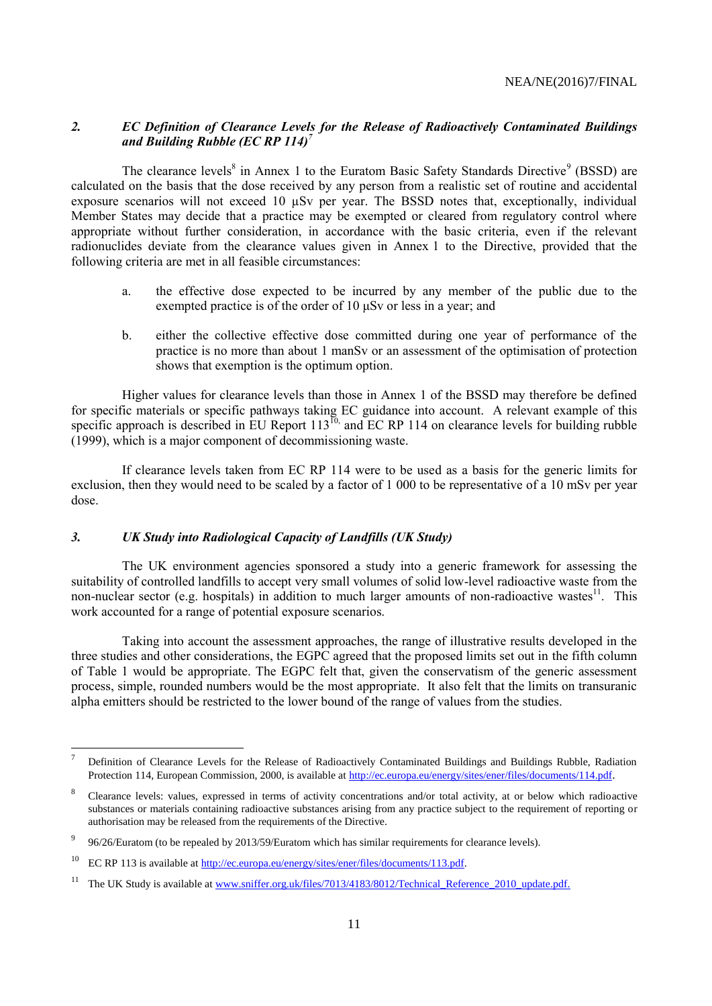# *2. EC Definition of Clearance Levels for the Release of Radioactively Contaminated Buildings and Building Rubble (EC RP 114)<sup>7</sup>*

The clearance levels<sup>8</sup> in Annex 1 to the Euratom Basic Safety Standards Directive<sup>9</sup> (BSSD) are calculated on the basis that the dose received by any person from a realistic set of routine and accidental exposure scenarios will not exceed 10  $\mu$ Sv per year. The BSSD notes that, exceptionally, individual Member States may decide that a practice may be exempted or cleared from regulatory control where appropriate without further consideration, in accordance with the basic criteria, even if the relevant radionuclides deviate from the clearance values given in Annex 1 to the Directive, provided that the following criteria are met in all feasible circumstances:

- a. the effective dose expected to be incurred by any member of the public due to the exempted practice is of the order of 10 μSv or less in a year; and
- b. either the collective effective dose committed during one year of performance of the practice is no more than about 1 manSv or an assessment of the optimisation of protection shows that exemption is the optimum option.

Higher values for clearance levels than those in Annex 1 of the BSSD may therefore be defined for specific materials or specific pathways taking EC guidance into account. A relevant example of this specific approach is described in EU Report  $113^{10}$ , and EC RP 114 on clearance levels for building rubble (1999), which is a major component of decommissioning waste.

If clearance levels taken from EC RP 114 were to be used as a basis for the generic limits for exclusion, then they would need to be scaled by a factor of 1 000 to be representative of a 10 mSv per year dose.

## *3. UK Study into Radiological Capacity of Landfills (UK Study)*

The UK environment agencies sponsored a study into a generic framework for assessing the suitability of controlled landfills to accept very small volumes of solid low-level radioactive waste from the non-nuclear sector (e.g. hospitals) in addition to much larger amounts of non-radioactive wastes<sup>11</sup>. This work accounted for a range of potential exposure scenarios.

Taking into account the assessment approaches, the range of illustrative results developed in the three studies and other considerations, the EGPC agreed that the proposed limits set out in the fifth column of Table 1 would be appropriate. The EGPC felt that, given the conservatism of the generic assessment process, simple, rounded numbers would be the most appropriate. It also felt that the limits on transuranic alpha emitters should be restricted to the lower bound of the range of values from the studies.

l

<sup>7</sup> Definition of Clearance Levels for the Release of Radioactively Contaminated Buildings and Buildings Rubble, Radiation Protection 114, European Commission, 2000, is available at<http://ec.europa.eu/energy/sites/ener/files/documents/114.pdf>.

<sup>8</sup> Clearance levels: values, expressed in terms of activity concentrations and/or total activity, at or below which radioactive substances or materials containing radioactive substances arising from any practice subject to the requirement of reporting or authorisation may be released from the requirements of the Directive.

<sup>9</sup> 96/26/Euratom (to be repealed by 2013/59/Euratom which has similar requirements for clearance levels).

<sup>&</sup>lt;sup>10</sup> EC RP 113 is available at [http://ec.europa.eu/energy/sites/ener/files/documents/113.pdf.](http://ec.europa.eu/energy/sites/ener/files/documents/113.pdf)

<sup>&</sup>lt;sup>11</sup> The UK Study is available at [www.sniffer.org.uk/files/7013/4183/8012/Technical\\_Reference\\_2010\\_update.pdf.](http://www.sniffer.org.uk/files/7013/4183/8012/Technical_Reference_2010_update.pdf)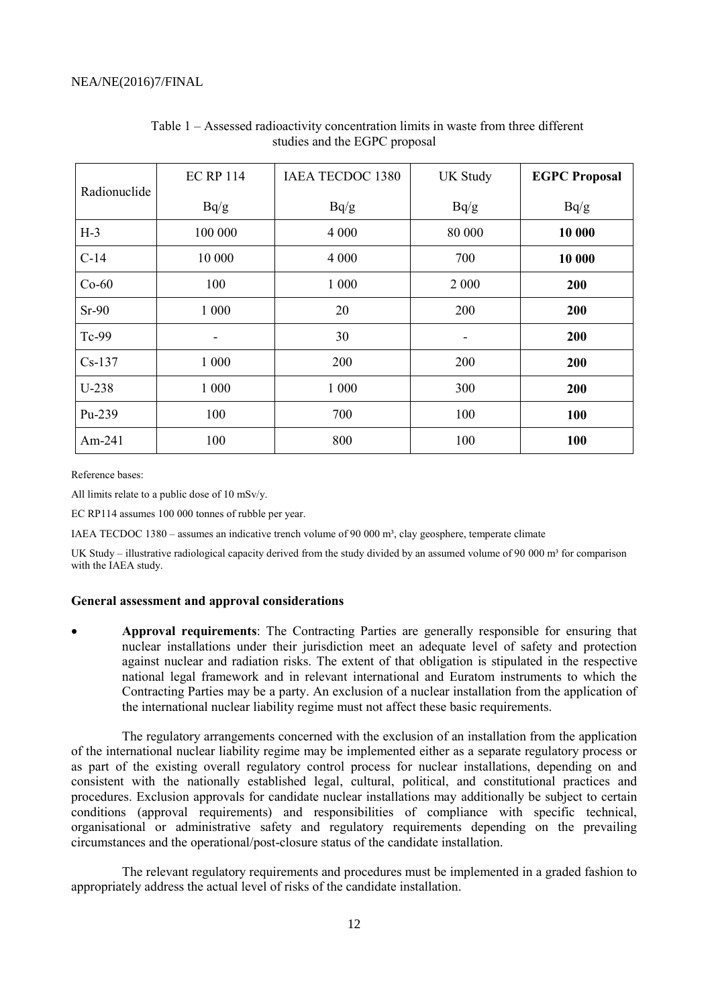| Radionuclide | <b>EC RP 114</b> | <b>IAEA TECDOC 1380</b> | <b>UK Study</b> | <b>EGPC Proposal</b> |
|--------------|------------------|-------------------------|-----------------|----------------------|
|              | Bq/g             | Bq/g                    | Bq/g            | Bq/g                 |
| $H-3$        | 100 000          | 4 0 0 0                 | 80 000          | 10 000               |
| $C-14$       | 10 000           | 4 0 0 0                 | 700             | 10 000               |
| $Co-60$      | 100              | 1 000                   | 2 0 0 0         | 200                  |
| $Sr-90$      | 1 000            | 20                      | 200             | 200                  |
| Tc-99        | ۰                | 30                      | -               | 200                  |
| $Cs-137$     | 1 000            | 200                     | 200             | 200                  |
| U-238        | 1 000            | 1 000                   | 300             | 200                  |
| Pu-239       | 100              | 700                     | 100             | 100                  |
| Am-241       | 100              | 800                     | 100             | 100                  |

## Table 1 – Assessed radioactivity concentration limits in waste from three different studies and the EGPC proposal

Reference bases:

All limits relate to a public dose of 10 mSv/y.

EC RP114 assumes 100 000 tonnes of rubble per year.

IAEA TECDOC 1380 – assumes an indicative trench volume of 90 000 m<sup>3</sup>, clay geosphere, temperate climate

UK Study – illustrative radiological capacity derived from the study divided by an assumed volume of 90 000  $m<sup>3</sup>$  for comparison with the IAEA study.

#### **General assessment and approval considerations**

 **Approval requirements**: The Contracting Parties are generally responsible for ensuring that nuclear installations under their jurisdiction meet an adequate level of safety and protection against nuclear and radiation risks. The extent of that obligation is stipulated in the respective national legal framework and in relevant international and Euratom instruments to which the Contracting Parties may be a party. An exclusion of a nuclear installation from the application of the international nuclear liability regime must not affect these basic requirements.

The regulatory arrangements concerned with the exclusion of an installation from the application of the international nuclear liability regime may be implemented either as a separate regulatory process or as part of the existing overall regulatory control process for nuclear installations, depending on and consistent with the nationally established legal, cultural, political, and constitutional practices and procedures. Exclusion approvals for candidate nuclear installations may additionally be subject to certain conditions (approval requirements) and responsibilities of compliance with specific technical, organisational or administrative safety and regulatory requirements depending on the prevailing circumstances and the operational/post-closure status of the candidate installation.

The relevant regulatory requirements and procedures must be implemented in a graded fashion to appropriately address the actual level of risks of the candidate installation.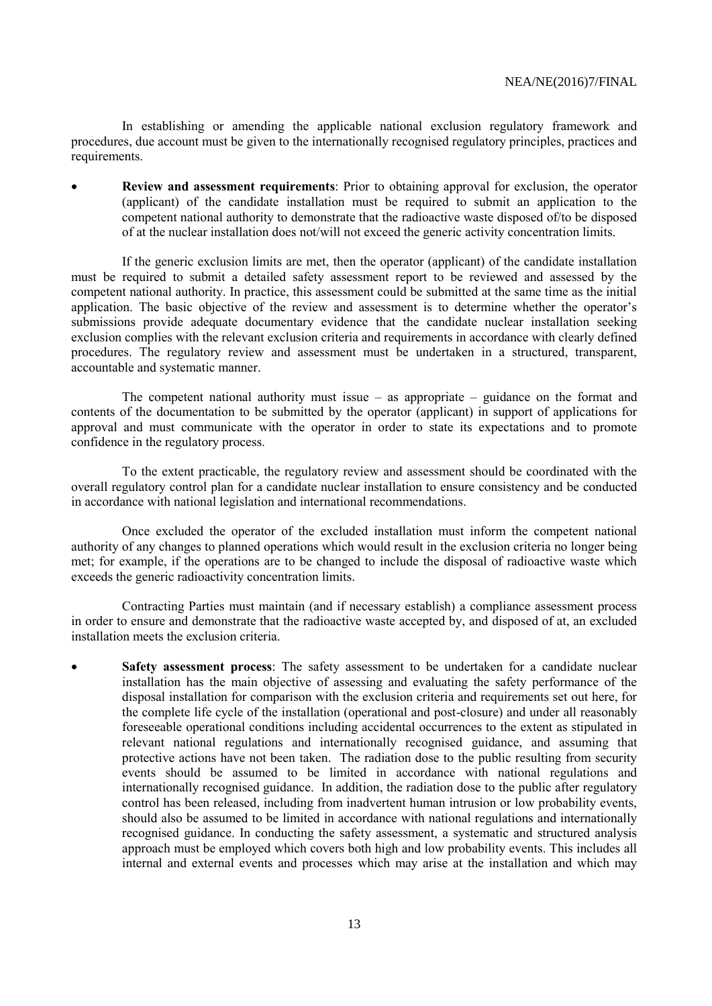In establishing or amending the applicable national exclusion regulatory framework and procedures, due account must be given to the internationally recognised regulatory principles, practices and requirements.

 **Review and assessment requirements**: Prior to obtaining approval for exclusion, the operator (applicant) of the candidate installation must be required to submit an application to the competent national authority to demonstrate that the radioactive waste disposed of/to be disposed of at the nuclear installation does not/will not exceed the generic activity concentration limits.

If the generic exclusion limits are met, then the operator (applicant) of the candidate installation must be required to submit a detailed safety assessment report to be reviewed and assessed by the competent national authority. In practice, this assessment could be submitted at the same time as the initial application. The basic objective of the review and assessment is to determine whether the operator's submissions provide adequate documentary evidence that the candidate nuclear installation seeking exclusion complies with the relevant exclusion criteria and requirements in accordance with clearly defined procedures. The regulatory review and assessment must be undertaken in a structured, transparent, accountable and systematic manner.

The competent national authority must issue  $-$  as appropriate  $-$  guidance on the format and contents of the documentation to be submitted by the operator (applicant) in support of applications for approval and must communicate with the operator in order to state its expectations and to promote confidence in the regulatory process.

To the extent practicable, the regulatory review and assessment should be coordinated with the overall regulatory control plan for a candidate nuclear installation to ensure consistency and be conducted in accordance with national legislation and international recommendations.

Once excluded the operator of the excluded installation must inform the competent national authority of any changes to planned operations which would result in the exclusion criteria no longer being met; for example, if the operations are to be changed to include the disposal of radioactive waste which exceeds the generic radioactivity concentration limits.

Contracting Parties must maintain (and if necessary establish) a compliance assessment process in order to ensure and demonstrate that the radioactive waste accepted by, and disposed of at, an excluded installation meets the exclusion criteria.

 **Safety assessment process**: The safety assessment to be undertaken for a candidate nuclear installation has the main objective of assessing and evaluating the safety performance of the disposal installation for comparison with the exclusion criteria and requirements set out here, for the complete life cycle of the installation (operational and post-closure) and under all reasonably foreseeable operational conditions including accidental occurrences to the extent as stipulated in relevant national regulations and internationally recognised guidance, and assuming that protective actions have not been taken. The radiation dose to the public resulting from security events should be assumed to be limited in accordance with national regulations and internationally recognised guidance. In addition, the radiation dose to the public after regulatory control has been released, including from inadvertent human intrusion or low probability events, should also be assumed to be limited in accordance with national regulations and internationally recognised guidance. In conducting the safety assessment, a systematic and structured analysis approach must be employed which covers both high and low probability events. This includes all internal and external events and processes which may arise at the installation and which may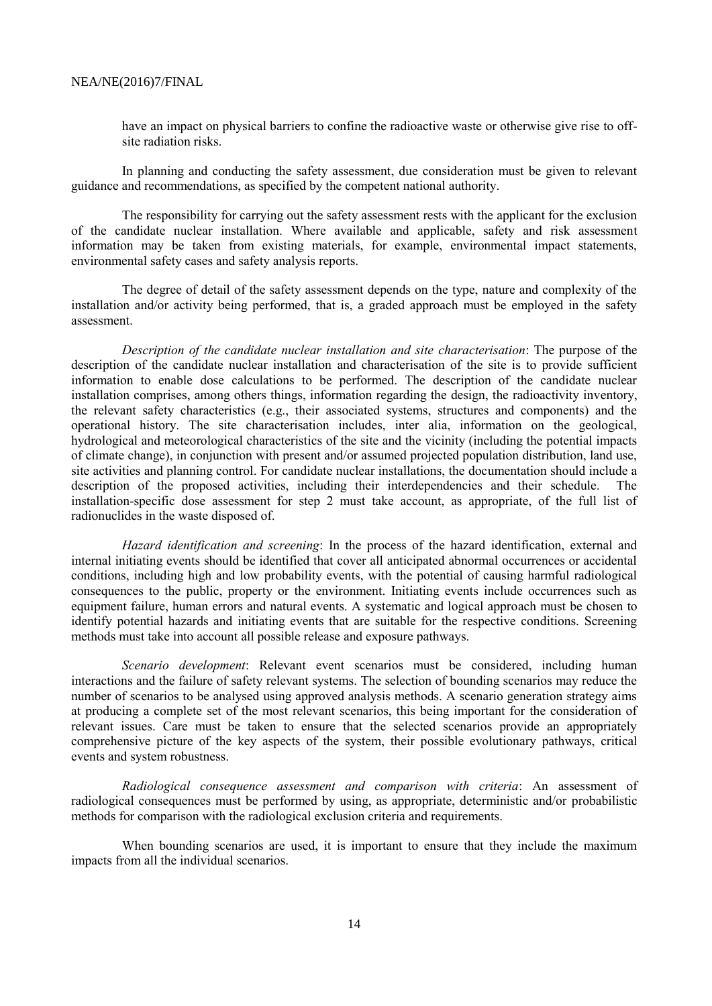have an impact on physical barriers to confine the radioactive waste or otherwise give rise to offsite radiation risks.

In planning and conducting the safety assessment, due consideration must be given to relevant guidance and recommendations, as specified by the competent national authority.

The responsibility for carrying out the safety assessment rests with the applicant for the exclusion of the candidate nuclear installation. Where available and applicable, safety and risk assessment information may be taken from existing materials, for example, environmental impact statements, environmental safety cases and safety analysis reports.

The degree of detail of the safety assessment depends on the type, nature and complexity of the installation and/or activity being performed, that is, a graded approach must be employed in the safety assessment.

*Description of the candidate nuclear installation and site characterisation*: The purpose of the description of the candidate nuclear installation and characterisation of the site is to provide sufficient information to enable dose calculations to be performed. The description of the candidate nuclear installation comprises, among others things, information regarding the design, the radioactivity inventory, the relevant safety characteristics (e.g., their associated systems, structures and components) and the operational history. The site characterisation includes, inter alia, information on the geological, hydrological and meteorological characteristics of the site and the vicinity (including the potential impacts of climate change), in conjunction with present and/or assumed projected population distribution, land use, site activities and planning control. For candidate nuclear installations, the documentation should include a description of the proposed activities, including their interdependencies and their schedule. The installation-specific dose assessment for step 2 must take account, as appropriate, of the full list of radionuclides in the waste disposed of.

*Hazard identification and screening*: In the process of the hazard identification, external and internal initiating events should be identified that cover all anticipated abnormal occurrences or accidental conditions, including high and low probability events, with the potential of causing harmful radiological consequences to the public, property or the environment. Initiating events include occurrences such as equipment failure, human errors and natural events. A systematic and logical approach must be chosen to identify potential hazards and initiating events that are suitable for the respective conditions. Screening methods must take into account all possible release and exposure pathways.

*Scenario development*: Relevant event scenarios must be considered, including human interactions and the failure of safety relevant systems. The selection of bounding scenarios may reduce the number of scenarios to be analysed using approved analysis methods. A scenario generation strategy aims at producing a complete set of the most relevant scenarios, this being important for the consideration of relevant issues. Care must be taken to ensure that the selected scenarios provide an appropriately comprehensive picture of the key aspects of the system, their possible evolutionary pathways, critical events and system robustness.

*Radiological consequence assessment and comparison with criteria*: An assessment of radiological consequences must be performed by using, as appropriate, deterministic and/or probabilistic methods for comparison with the radiological exclusion criteria and requirements.

When bounding scenarios are used, it is important to ensure that they include the maximum impacts from all the individual scenarios.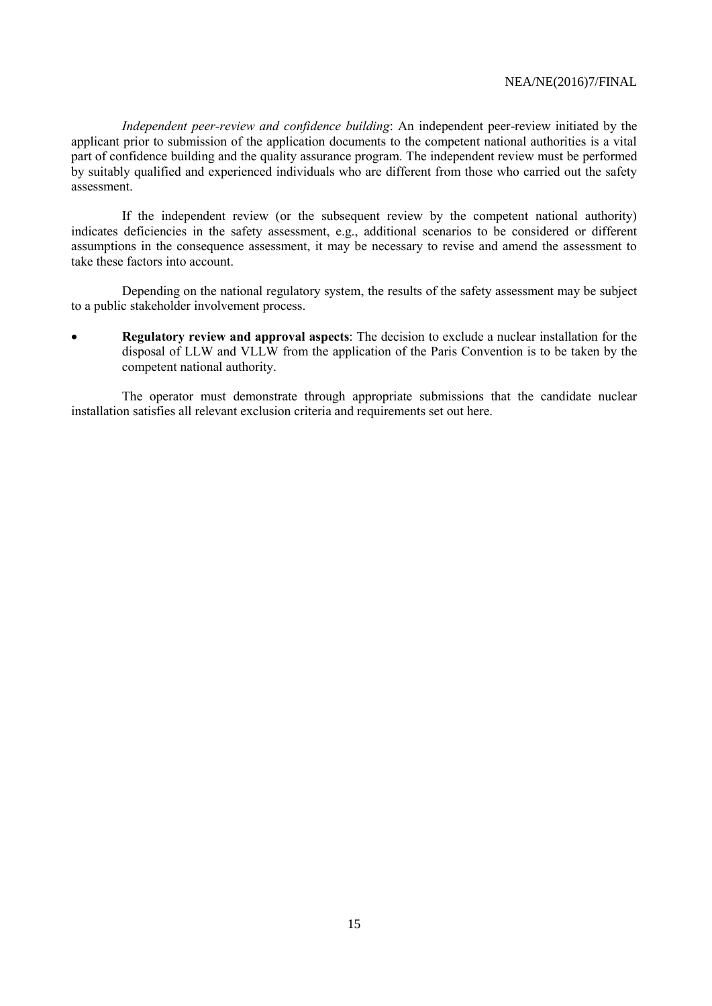*Independent peer-review and confidence building*: An independent peer-review initiated by the applicant prior to submission of the application documents to the competent national authorities is a vital part of confidence building and the quality assurance program. The independent review must be performed by suitably qualified and experienced individuals who are different from those who carried out the safety assessment.

If the independent review (or the subsequent review by the competent national authority) indicates deficiencies in the safety assessment, e.g., additional scenarios to be considered or different assumptions in the consequence assessment, it may be necessary to revise and amend the assessment to take these factors into account.

Depending on the national regulatory system, the results of the safety assessment may be subject to a public stakeholder involvement process.

 **Regulatory review and approval aspects**: The decision to exclude a nuclear installation for the disposal of LLW and VLLW from the application of the Paris Convention is to be taken by the competent national authority.

The operator must demonstrate through appropriate submissions that the candidate nuclear installation satisfies all relevant exclusion criteria and requirements set out here.